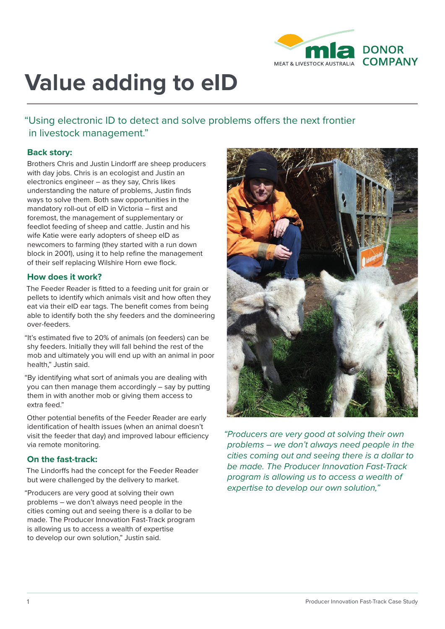

# **Value adding to eID**

"Using electronic ID to detect and solve problems offers the next frontier in livestock management."

# **Back story:**

Brothers Chris and Justin Lindorff are sheep producers with day jobs. Chris is an ecologist and Justin an electronics engineer – as they say, Chris likes understanding the nature of problems, Justin finds ways to solve them. Both saw opportunities in the mandatory roll-out of eID in Victoria – first and foremost, the management of supplementary or feedlot feeding of sheep and cattle. Justin and his wife Katie were early adopters of sheep eID as newcomers to farming (they started with a run down block in 2001), using it to help refine the management of their self replacing Wilshire Horn ewe flock.

### **How does it work?**

The Feeder Reader is fitted to a feeding unit for grain or pellets to identify which animals visit and how often they eat via their eID ear tags. The benefit comes from being able to identify both the shy feeders and the domineering over-feeders.

"It's estimated five to 20% of animals (on feeders) can be shy feeders. Initially they will fall behind the rest of the mob and ultimately you will end up with an animal in poor health," Justin said.

"By identifying what sort of animals you are dealing with you can then manage them accordingly – say by putting them in with another mob or giving them access to extra feed."

Other potential benefits of the Feeder Reader are early identification of health issues (when an animal doesn't visit the feeder that day) and improved labour efficiency via remote monitoring.

### **On the fast-track:**

The Lindorffs had the concept for the Feeder Reader but were challenged by the delivery to market.

"Producers are very good at solving their own problems – we don't always need people in the cities coming out and seeing there is a dollar to be made. The Producer Innovation Fast-Track program is allowing us to access a wealth of expertise to develop our own solution," Justin said.



*"Producers are very good at solving their own problems – we don't always need people in the cities coming out and seeing there is a dollar to be made. The Producer Innovation Fast-Track program is allowing us to access a wealth of expertise to develop our own solution,"*